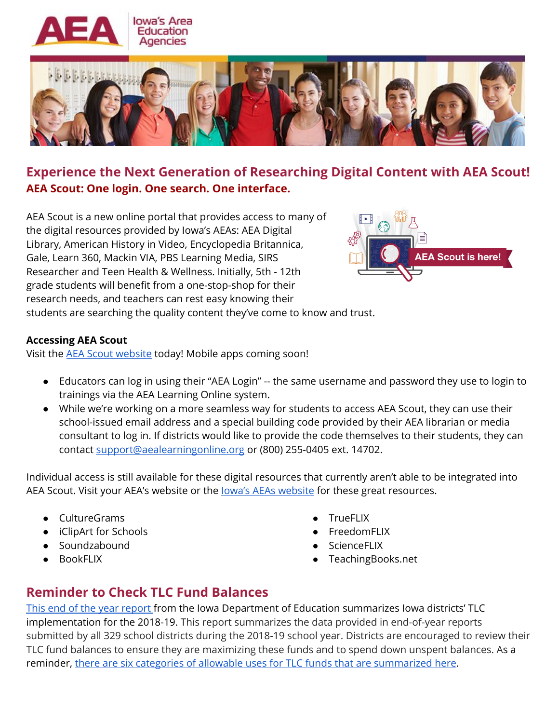



## **Experience the Next Generation of Researching Digital Content with AEA Scout! AEA Scout: One login. One search. One interface.**

AEA Scout is a new online portal that provides access to many of the digital resources provided by Iowa's AEAs: AEA Digital Library, American History in Video, Encyclopedia Britannica, Gale, Learn 360, Mackin VIA, PBS Learning Media, SIRS Researcher and Teen Health & Wellness. Initially, 5th - 12th grade students will benefit from a one-stop-shop for their research needs, and teachers can rest easy knowing their students are searching the quality content they've come to know and trust.



**Accessing AEA Scout**

Visit the AEA Scout [website](https://scout.iowaaea.org/) today! Mobile apps coming soon!

- Educators can log in using their "AEA Login" -- the same username and password they use to login to trainings via the AEA Learning Online system.
- While we're working on a more seamless way for students to access AEA Scout, they can use their school-issued email address and a special building code provided by their AEA librarian or media consultant to log in. If districts would like to provide the code themselves to their students, they can contact [support@aealearningonline.org](mailto:support@AEALearning.org) or (800) 255-0405 ext. 14702.

Individual access is still available for these digital resources that currently aren't able to be integrated into AEA Scout. Visit your AEA's [website](https://www.iowaaea.org/about/iowa-aea-online/) or the **lowa's AEAs website** for these great resources.

- CultureGrams
- iClipArt for Schools
- Soundzabound
- BookFLIX
- **TrueFLIX**
- **FreedomFLIX**
- **ScienceFLIX**
- TeachingBooks.net

## **Reminder to Check TLC Fund Balances**

This end of the year [report](https://drive.google.com/file/d/0B6i5OVHagCBmMVZXaHM0WkhaM0kyNlY5YkFWbjNuR2FsTk80/view?usp=sharing) from the Iowa Department of Education summarizes Iowa districts' TLC implementation for the 2018-19. This report summarizes the data provided in end-of-year reports submitted by all 329 school districts during the 2018-19 school year. Districts are encouraged to review their TLC fund balances to ensure they are maximizing these funds and to spend down unspent balances. As a reminder, there are six categories of allowable uses for TLC funds that are [summarized](https://drive.google.com/file/d/1JNZ_XKqhwb9a_uEeq9QdaxlI5W5Rh1W-/view) here.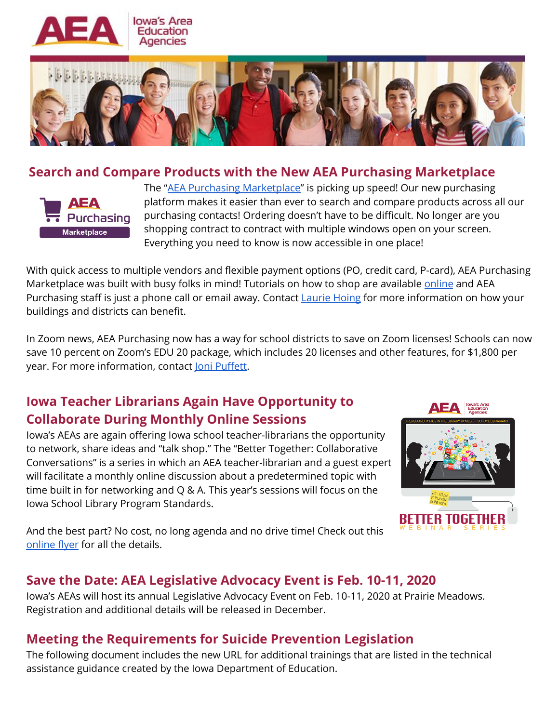



#### **Search and Compare Products with the New AEA Purchasing Marketplace**



The "AEA Purchasing [Marketplace](https://shop.equallevel.com/aeapurchasing/login)" is picking up speed! Our new purchasing platform makes it easier than ever to search and compare products across all our purchasing contacts! Ordering doesn't have to be difficult. No longer are you shopping contract to contract with multiple windows open on your screen. Everything you need to know is now accessible in one place!

With quick access to multiple vendors and flexible payment options (PO, credit card, P-card), AEA Purchasing Marketplace was built with busy folks in mind! Tutorials on how to shop are available [online](http://www.aeapurchasing.org/useful_info) and AEA Purchasing staff is just a phone call or email away. Contact [Laurie](mailto:laurie@aeapurchasing.org) Hoing for more information on how your buildings and districts can benefit.

In Zoom news, AEA Purchasing now has a way for school districts to save on Zoom licenses! Schools can now save 10 percent on Zoom's EDU 20 package, which includes 20 licenses and other features, for \$1,800 per year. For more information, contact Joni [Puffett.](mailto:joni@aeapurchasing.org)

# **Iowa Teacher Librarians Again Have Opportunity to Collaborate During Monthly Online Sessions**

Iowa's AEAs are again offering Iowa school teacher-librarians the opportunity to network, share ideas and "talk shop." The "Better Together: Collaborative Conversations" is a series in which an AEA teacher-librarian and a guest expert will facilitate a monthly online discussion about a predetermined topic with time built in for networking and Q & A. This year's sessions will focus on the Iowa School Library Program Standards.



And the best part? No cost, no long agenda and no drive time! Check out thi[s](https://www.smore.com/afqxv-teacher-librarians) [online](https://www.smore.com/afqxv-teacher-librarians) flyer for all the details.

## **Save the Date: AEA Legislative Advocacy Event is Feb. 10-11, 2020**

Iowa's AEAs will host its annual Legislative Advocacy Event on Feb. 10-11, 2020 at Prairie Meadows. Registration and additional details will be released in December.

## **Meeting the Requirements for Suicide Prevention Legislation**

The following document includes the new URL for additional trainings that are listed in the technical assistance guidance created by the Iowa Department of Education.